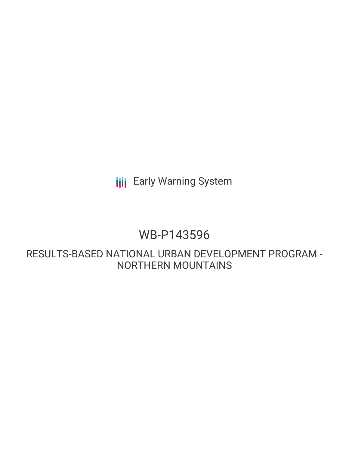**III** Early Warning System

# WB-P143596

RESULTS-BASED NATIONAL URBAN DEVELOPMENT PROGRAM - NORTHERN MOUNTAINS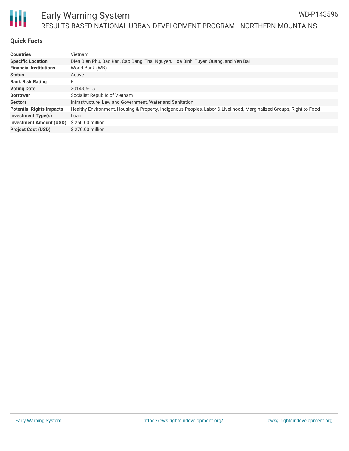

## Early Warning System RESULTS-BASED NATIONAL URBAN DEVELOPMENT PROGRAM - NORTHERN MOUNTAINS

#### **Quick Facts**

Ш

| <b>Countries</b>                | Vietnam                                                                                                             |
|---------------------------------|---------------------------------------------------------------------------------------------------------------------|
| <b>Specific Location</b>        | Dien Bien Phu, Bac Kan, Cao Bang, Thai Nguyen, Hoa Binh, Tuyen Quang, and Yen Bai                                   |
| <b>Financial Institutions</b>   | World Bank (WB)                                                                                                     |
| <b>Status</b>                   | Active                                                                                                              |
| <b>Bank Risk Rating</b>         | B                                                                                                                   |
| <b>Voting Date</b>              | 2014-06-15                                                                                                          |
| <b>Borrower</b>                 | Socialist Republic of Vietnam                                                                                       |
| <b>Sectors</b>                  | Infrastructure, Law and Government, Water and Sanitation                                                            |
| <b>Potential Rights Impacts</b> | Healthy Environment, Housing & Property, Indigenous Peoples, Labor & Livelihood, Marginalized Groups, Right to Food |
| <b>Investment Type(s)</b>       | Loan                                                                                                                |
| <b>Investment Amount (USD)</b>  | \$250.00 million                                                                                                    |
| <b>Project Cost (USD)</b>       | \$270.00 million                                                                                                    |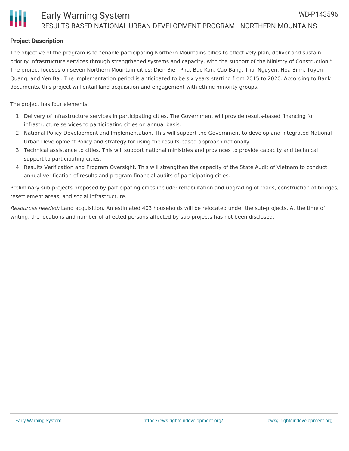## **Project Description**

The objective of the program is to "enable participating Northern Mountains cities to effectively plan, deliver and sustain priority infrastructure services through strengthened systems and capacity, with the support of the Ministry of Construction." The project focuses on seven Northern Mountain cities: Dien Bien Phu, Bac Kan, Cao Bang, Thai Nguyen, Hoa Binh, Tuyen Quang, and Yen Bai. The implementation period is anticipated to be six years starting from 2015 to 2020. According to Bank documents, this project will entail land acquisition and engagement with ethnic minority groups.

The project has four elements:

- 1. Delivery of infrastructure services in participating cities. The Government will provide results-based financing for infrastructure services to participating cities on annual basis.
- 2. National Policy Development and Implementation. This will support the Government to develop and Integrated National Urban Development Policy and strategy for using the results-based approach nationally.
- 3. Technical assistance to cities. This will support national ministries and provinces to provide capacity and technical support to participating cities.
- 4. Results Verification and Program Oversight. This will strengthen the capacity of the State Audit of Vietnam to conduct annual verification of results and program financial audits of participating cities.

Preliminary sub-projects proposed by participating cities include: rehabilitation and upgrading of roads, construction of bridges, resettlement areas, and social infrastructure.

Resources needed: Land acquisition. An estimated 403 households will be relocated under the sub-projects. At the time of writing, the locations and number of affected persons affected by sub-projects has not been disclosed.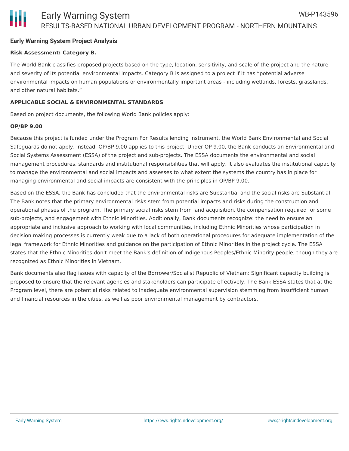#### **Early Warning System Project Analysis**

#### **Risk Assessment: Category B.**

The World Bank classifies proposed projects based on the type, location, sensitivity, and scale of the project and the nature and severity of its potential environmental impacts. Category B is assigned to a project if it has "potential adverse environmental impacts on human populations or environmentally important areas - including wetlands, forests, grasslands, and other natural habitats."

#### **APPLICABLE SOCIAL & ENVIRONMENTAL STANDARDS**

Based on project documents, the following World Bank policies apply:

#### **OP/BP 9.00**

Because this project is funded under the Program For Results lending instrument, the World Bank Environmental and Social Safeguards do not apply. Instead, OP/BP 9.00 applies to this project. Under OP 9.00, the Bank conducts an Environmental and Social Systems Assessment (ESSA) of the project and sub-projects. The ESSA documents the environmental and social management procedures, standards and institutional responsibilities that will apply. It also evaluates the institutional capacity to manage the environmental and social impacts and assesses to what extent the systems the country has in place for managing environmental and social impacts are consistent with the principles in OP/BP 9.00.

Based on the ESSA, the Bank has concluded that the environmental risks are Substantial and the social risks are Substantial. The Bank notes that the primary environmental risks stem from potential impacts and risks during the construction and operational phases of the program. The primary social risks stem from land acquisition, the compensation required for some sub-projects, and engagement with Ethnic Minorities. Additionally, Bank documents recognize: the need to ensure an appropriate and inclusive approach to working with local communities, including Ethnic Minorities whose participation in decision making processes is currently weak due to a lack of both operational procedures for adequate implementation of the legal framework for Ethnic Minorities and guidance on the participation of Ethnic Minorities in the project cycle. The ESSA states that the Ethnic Minorities don't meet the Bank's definition of Indigenous Peoples/Ethnic Minority people, though they are recognized as Ethnic Minorities in Vietnam.

Bank documents also flag issues with capacity of the Borrower/Socialist Republic of Vietnam: Significant capacity building is proposed to ensure that the relevant agencies and stakeholders can participate effectively. The Bank ESSA states that at the Program level, there are potential risks related to inadequate environmental supervision stemming from insufficient human and financial resources in the cities, as well as poor environmental management by contractors.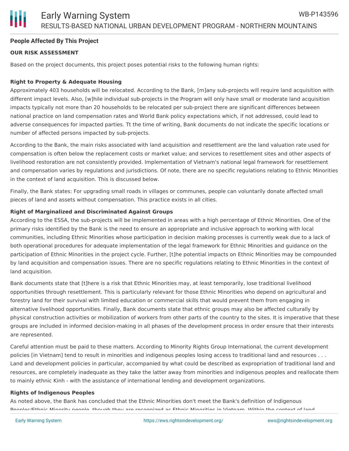## Early Warning System RESULTS-BASED NATIONAL URBAN DEVELOPMENT PROGRAM - NORTHERN MOUNTAINS

#### **People Affected By This Project**

#### **OUR RISK ASSESSMENT**

Based on the project documents, this project poses potential risks to the following human rights:

#### **Right to Property & Adequate Housing**

Approximately 403 households will be relocated. According to the Bank, [m]any sub-projects will require land acquisition with different impact levels. Also, [w]hile individual sub-projects in the Program will only have small or moderate land acquisition impacts typically not more than 20 households to be relocated per sub-project there are significant differences between national practice on land compensation rates and World Bank policy expectations which, if not addressed, could lead to adverse consequences for impacted parties. Tt the time of writing, Bank documents do not indicate the specific locations or number of affected persons impacted by sub-projects.

According to the Bank, the main risks associated with land acquisition and resettlement are the land valuation rate used for compensation is often below the replacement costs or market value; and services to resettlement sites and other aspects of livelihood restoration are not consistently provided. Implementation of Vietnam's national legal framework for resettlement and compensation varies by regulations and jurisdictions. Of note, there are no specific regulations relating to Ethnic Minorities in the context of land acquisition. This is discussed below.

Finally, the Bank states: For upgrading small roads in villages or communes, people can voluntarily donate affected small pieces of land and assets without compensation. This practice exists in all cities.

#### **Right of Marginalized and Discriminated Against Groups**

According to the ESSA, the sub-projects will be implemented in areas with a high percentage of Ethnic Minorities. One of the primary risks identified by the Bank is the need to ensure an appropriate and inclusive approach to working with local communities, including Ethnic Minorities whose participation in decision making processes is currently weak due to a lack of both operational procedures for adequate implementation of the legal framework for Ethnic Minorities and guidance on the participation of Ethnic Minorities in the project cycle. Further, [t]he potential impacts on Ethnic Minorities may be compounded by land acquisition and compensation issues. There are no specific regulations relating to Ethnic Minorities in the context of land acquisition.

Bank documents state that [t]here is a risk that Ethnic Minorities may, at least temporarily, lose traditional livelihood opportunities through resettlement. This is particularly relevant for those Ethnic Minorities who depend on agricultural and forestry land for their survival with limited education or commercial skills that would prevent them from engaging in alternative livelihood opportunities. Finally, Bank documents state that ethnic groups may also be affected culturally by physical construction activities or mobilization of workers from other parts of the country to the sites. It is imperative that these groups are included in informed decision-making in all phases of the development process in order ensure that their interests are represented.

Careful attention must be paid to these matters. According to Minority Rights Group International, the current development policies [in Vietnam] tend to result in minorities and indigenous peoples losing access to traditional land and resources . . . Land and development policies in particular, accompanied by what could be described as expropriation of traditional land and resources, are completely inadequate as they take the latter away from minorities and indigenous peoples and reallocate them to mainly ethnic Kinh - with the assistance of international lending and development organizations.

#### **Rights of Indigenous Peoples**

As noted above, the Bank has concluded that the Ethnic Minorities don't meet the Bank's definition of Indigenous Peoples/Ethnic Minority people, though they are recognized as Ethnic Minorities in Vietnam. Within the context of land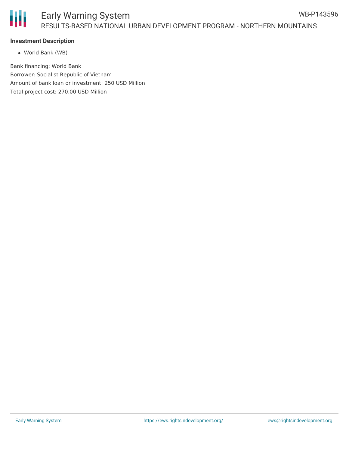## Early Warning System RESULTS-BASED NATIONAL URBAN DEVELOPMENT PROGRAM - NORTHERN MOUNTAINS

### **Investment Description**

World Bank (WB)

Bank financing: World Bank Borrower: Socialist Republic of Vietnam Amount of bank loan or investment: 250 USD Million Total project cost: 270.00 USD Million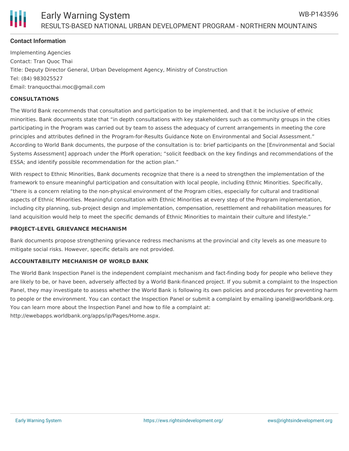

#### **Contact Information**

Implementing Agencies Contact: Tran Quoc Thai Title: Deputy Director General, Urban Development Agency, Ministry of Construction Tel: (84) 983025527 Email: tranquocthai.moc@gmail.com

#### **CONSULTATIONS**

The World Bank recommends that consultation and participation to be implemented, and that it be inclusive of ethnic minorities. Bank documents state that "in depth consultations with key stakeholders such as community groups in the cities participating in the Program was carried out by team to assess the adequacy of current arrangements in meeting the core principles and attributes defined in the Program-for-Results Guidance Note on Environmental and Social Assessment." According to World Bank documents, the purpose of the consultation is to: brief participants on the [Environmental and Social Systems Assessment] approach under the PforR operation; "solicit feedback on the key findings and recommendations of the ESSA; and identify possible recommendation for the action plan."

With respect to Ethnic Minorities, Bank documents recognize that there is a need to strengthen the implementation of the framework to ensure meaningful participation and consultation with local people, including Ethnic Minorities. Specifically, "there is a concern relating to the non-physical environment of the Program cities, especially for cultural and traditional aspects of Ethnic Minorities. Meaningful consultation with Ethnic Minorities at every step of the Program implementation, including city planning, sub-project design and implementation, compensation, resettlement and rehabilitation measures for land acquisition would help to meet the specific demands of Ethnic Minorities to maintain their culture and lifestyle."

#### **PROJECT-LEVEL GRIEVANCE MECHANISM**

Bank documents propose strengthening grievance redress mechanisms at the provincial and city levels as one measure to mitigate social risks. However, specific details are not provided.

#### **ACCOUNTABILITY MECHANISM OF WORLD BANK**

The World Bank Inspection Panel is the independent complaint mechanism and fact-finding body for people who believe they are likely to be, or have been, adversely affected by a World Bank-financed project. If you submit a complaint to the Inspection Panel, they may investigate to assess whether the World Bank is following its own policies and procedures for preventing harm to people or the environment. You can contact the Inspection Panel or submit a complaint by emailing ipanel@worldbank.org. You can learn more about the Inspection Panel and how to file a complaint at: http://ewebapps.worldbank.org/apps/ip/Pages/Home.aspx.